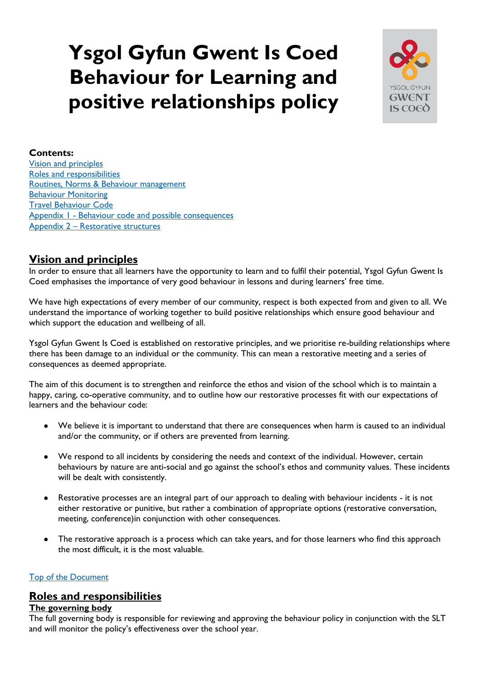# <span id="page-0-2"></span>**Ysgol Gyfun Gwent Is Coed Behaviour for Learning and positive relationships policy**



## **Contents:**

[Vision and principles](#page-0-0) [Roles and responsibilities](#page-0-1) [Routines, Norms & Behaviour management](#page-1-0) [Behaviour Monitoring](#page-2-0) [Travel Behaviour Code](#page-4-0) Appendix 1 - [Behaviour code and possible consequences](#page-6-0) Appendix 2 – [Restorative structures](#page-9-0)

# <span id="page-0-0"></span>**Vision and principles**

In order to ensure that all learners have the opportunity to learn and to fulfil their potential, Ysgol Gyfun Gwent Is Coed emphasises the importance of very good behaviour in lessons and during learners' free time.

We have high expectations of every member of our community, respect is both expected from and given to all. We understand the importance of working together to build positive relationships which ensure good behaviour and which support the education and wellbeing of all.

Ysgol Gyfun Gwent Is Coed is established on restorative principles, and we prioritise re-building relationships where there has been damage to an individual or the community. This can mean a restorative meeting and a series of consequences as deemed appropriate.

The aim of this document is to strengthen and reinforce the ethos and vision of the school which is to maintain a happy, caring, co-operative community, and to outline how our restorative processes fit with our expectations of learners and the behaviour code:

- We believe it is important to understand that there are consequences when harm is caused to an individual and/or the community, or if others are prevented from learning.
- We respond to all incidents by considering the needs and context of the individual. However, certain behaviours by nature are anti-social and go against the school's ethos and community values. These incidents will be dealt with consistently.
- Restorative processes are an integral part of our approach to dealing with behaviour incidents it is not either restorative or punitive, but rather a combination of appropriate options (restorative conversation, meeting, conference)in conjunction with other consequences.
- The restorative approach is a process which can take years, and for those learners who find this approach the most difficult, it is the most valuable.

## [Top of the Document](#page-0-2)

## <span id="page-0-1"></span>**Roles and responsibilities**

## **The governing body**

The full governing body is responsible for reviewing and approving the behaviour policy in conjunction with the SLT and will monitor the policy's effectiveness over the school year.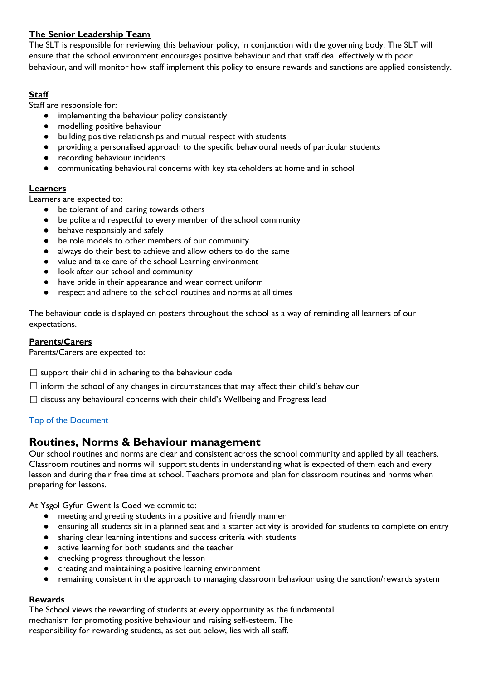## **The Senior Leadership Team**

The SLT is responsible for reviewing this behaviour policy, in conjunction with the governing body. The SLT will ensure that the school environment encourages positive behaviour and that staff deal effectively with poor behaviour, and will monitor how staff implement this policy to ensure rewards and sanctions are applied consistently.

## **Staff**

Staff are responsible for:

- implementing the behaviour policy consistently
- modelling positive behaviour
- building positive relationships and mutual respect with students
- providing a personalised approach to the specific behavioural needs of particular students
- recording behaviour incidents
- communicating behavioural concerns with key stakeholders at home and in school

## **Learners**

Learners are expected to:

- be tolerant of and caring towards others
- be polite and respectful to every member of the school community
- behave responsibly and safely
- be role models to other members of our community
- always do their best to achieve and allow others to do the same
- value and take care of the school Learning environment
- look after our school and community
- have pride in their appearance and wear correct uniform
- respect and adhere to the school routines and norms at all times

The behaviour code is displayed on posters throughout the school as a way of reminding all learners of our expectations.

## **Parents/Carers**

Parents/Carers are expected to:

 $\square$  support their child in adhering to the behaviour code

- $\Box$  inform the school of any changes in circumstances that may affect their child's behaviour
- $\Box$  discuss any behavioural concerns with their child's Wellbeing and Progress lead

## [Top of the Document](#page-0-2)

# <span id="page-1-0"></span>**Routines, Norms & Behaviour management**

Our school routines and norms are clear and consistent across the school community and applied by all teachers. Classroom routines and norms will support students in understanding what is expected of them each and every lesson and during their free time at school. Teachers promote and plan for classroom routines and norms when preparing for lessons.

At Ysgol Gyfun Gwent Is Coed we commit to:

- meeting and greeting students in a positive and friendly manner
- ensuring all students sit in a planned seat and a starter activity is provided for students to complete on entry
- sharing clear learning intentions and success criteria with students
- active learning for both students and the teacher
- checking progress throughout the lesson
- creating and maintaining a positive learning environment
- remaining consistent in the approach to managing classroom behaviour using the sanction/rewards system

## **Rewards**

The School views the rewarding of students at every opportunity as the fundamental mechanism for promoting positive behaviour and raising self-esteem. The responsibility for rewarding students, as set out below, lies with all staff.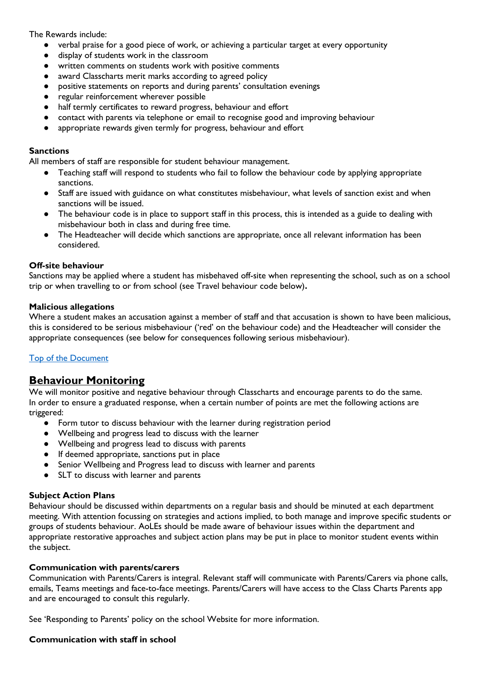The Rewards include:

- verbal praise for a good piece of work, or achieving a particular target at every opportunity
- display of students work in the classroom
- written comments on students work with positive comments
- award Classcharts merit marks according to agreed policy
- positive statements on reports and during parents' consultation evenings
- regular reinforcement wherever possible
- half termly certificates to reward progress, behaviour and effort
- contact with parents via telephone or email to recognise good and improving behaviour
- appropriate rewards given termly for progress, behaviour and effort

#### **Sanctions**

All members of staff are responsible for student behaviour management.

- Teaching staff will respond to students who fail to follow the behaviour code by applying appropriate sanctions.
- Staff are issued with guidance on what constitutes misbehaviour, what levels of sanction exist and when sanctions will be issued.
- The behaviour code is in place to support staff in this process, this is intended as a guide to dealing with misbehaviour both in class and during free time.
- The Headteacher will decide which sanctions are appropriate, once all relevant information has been considered.

#### **Off-site behaviour**

Sanctions may be applied where a student has misbehaved off-site when representing the school, such as on a school trip or when travelling to or from school (see Travel behaviour code below)**.** 

#### **Malicious allegations**

Where a student makes an accusation against a member of staff and that accusation is shown to have been malicious, this is considered to be serious misbehaviour ('red' on the behaviour code) and the Headteacher will consider the appropriate consequences (see below for consequences following serious misbehaviour).

## [Top of the Document](#page-0-2)

## <span id="page-2-0"></span>**Behaviour Monitoring**

We will monitor positive and negative behaviour through Classcharts and encourage parents to do the same. In order to ensure a graduated response, when a certain number of points are met the following actions are triggered:

- Form tutor to discuss behaviour with the learner during registration period
- Wellbeing and progress lead to discuss with the learner
- Wellbeing and progress lead to discuss with parents
- If deemed appropriate, sanctions put in place
- Senior Wellbeing and Progress lead to discuss with learner and parents
- SLT to discuss with learner and parents

#### **Subject Action Plans**

Behaviour should be discussed within departments on a regular basis and should be minuted at each department meeting. With attention focussing on strategies and actions implied, to both manage and improve specific students or groups of students behaviour. AoLEs should be made aware of behaviour issues within the department and appropriate restorative approaches and subject action plans may be put in place to monitor student events within the subject.

#### **Communication with parents/carers**

Communication with Parents/Carers is integral. Relevant staff will communicate with Parents/Carers via phone calls, emails, Teams meetings and face-to-face meetings. Parents/Carers will have access to the Class Charts Parents app and are encouraged to consult this regularly.

See 'Responding to Parents' policy on the school Website for more information.

#### **Communication with staff in school**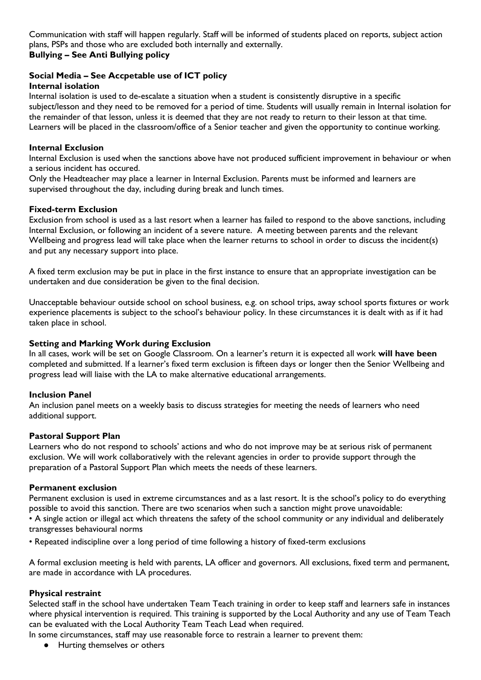Communication with staff will happen regularly. Staff will be informed of students placed on reports, subject action plans, PSPs and those who are excluded both internally and externally. **Bullying – See Anti Bullying policy**

#### **Social Media – See Accpetable use of ICT policy Internal isolation**

Internal isolation is used to de-escalate a situation when a student is consistently disruptive in a specific subject/lesson and they need to be removed for a period of time. Students will usually remain in Internal isolation for the remainder of that lesson, unless it is deemed that they are not ready to return to their lesson at that time. Learners will be placed in the classroom/office of a Senior teacher and given the opportunity to continue working.

## **Internal Exclusion**

Internal Exclusion is used when the sanctions above have not produced sufficient improvement in behaviour or when a serious incident has occured.

Only the Headteacher may place a learner in Internal Exclusion. Parents must be informed and learners are supervised throughout the day, including during break and lunch times.

## **Fixed-term Exclusion**

Exclusion from school is used as a last resort when a learner has failed to respond to the above sanctions, including Internal Exclusion, or following an incident of a severe nature. A meeting between parents and the relevant Wellbeing and progress lead will take place when the learner returns to school in order to discuss the incident(s) and put any necessary support into place.

A fixed term exclusion may be put in place in the first instance to ensure that an appropriate investigation can be undertaken and due consideration be given to the final decision.

Unacceptable behaviour outside school on school business, e.g. on school trips, away school sports fixtures or work experience placements is subject to the school's behaviour policy. In these circumstances it is dealt with as if it had taken place in school.

## **Setting and Marking Work during Exclusion**

In all cases, work will be set on Google Classroom. On a learner's return it is expected all work **will have been**  completed and submitted. If a learner's fixed term exclusion is fifteen days or longer then the Senior Wellbeing and progress lead will liaise with the LA to make alternative educational arrangements.

## **Inclusion Panel**

An inclusion panel meets on a weekly basis to discuss strategies for meeting the needs of learners who need additional support.

## **Pastoral Support Plan**

Learners who do not respond to schools' actions and who do not improve may be at serious risk of permanent exclusion. We will work collaboratively with the relevant agencies in order to provide support through the preparation of a Pastoral Support Plan which meets the needs of these learners.

## **Permanent exclusion**

Permanent exclusion is used in extreme circumstances and as a last resort. It is the school's policy to do everything possible to avoid this sanction. There are two scenarios when such a sanction might prove unavoidable: • A single action or illegal act which threatens the safety of the school community or any individual and deliberately

transgresses behavioural norms

• Repeated indiscipline over a long period of time following a history of fixed-term exclusions

A formal exclusion meeting is held with parents, LA officer and governors. All exclusions, fixed term and permanent, are made in accordance with LA procedures.

## **Physical restraint**

Selected staff in the school have undertaken Team Teach training in order to keep staff and learners safe in instances where physical intervention is required. This training is supported by the Local Authority and any use of Team Teach can be evaluated with the Local Authority Team Teach Lead when required.

In some circumstances, staff may use reasonable force to restrain a learner to prevent them:

● Hurting themselves or others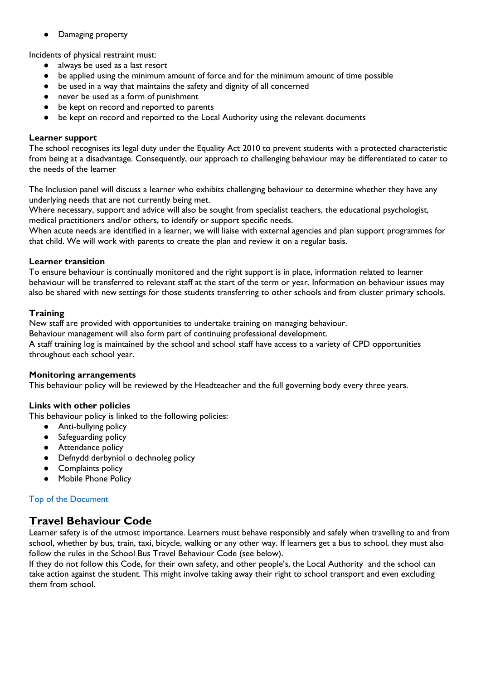● Damaging property

Incidents of physical restraint must:

- always be used as a last resort
- be applied using the minimum amount of force and for the minimum amount of time possible
- be used in a way that maintains the safety and dignity of all concerned
- never be used as a form of punishment
- be kept on record and reported to parents
- be kept on record and reported to the Local Authority using the relevant documents

#### **Learner support**

The school recognises its legal duty under the Equality Act 2010 to prevent students with a protected characteristic from being at a disadvantage. Consequently, our approach to challenging behaviour may be differentiated to cater to the needs of the learner

The Inclusion panel will discuss a learner who exhibits challenging behaviour to determine whether they have any underlying needs that are not currently being met.

Where necessary, support and advice will also be sought from specialist teachers, the educational psychologist, medical practitioners and/or others, to identify or support specific needs.

When acute needs are identified in a learner, we will liaise with external agencies and plan support programmes for that child. We will work with parents to create the plan and review it on a regular basis.

#### **Learner transition**

To ensure behaviour is continually monitored and the right support is in place, information related to learner behaviour will be transferred to relevant staff at the start of the term or year. Information on behaviour issues may also be shared with new settings for those students transferring to other schools and from cluster primary schools.

#### **Training**

New staff are provided with opportunities to undertake training on managing behaviour.

Behaviour management will also form part of continuing professional development.

A staff training log is maintained by the school and school staff have access to a variety of CPD opportunities throughout each school year.

#### **Monitoring arrangements**

This behaviour policy will be reviewed by the Headteacher and the full governing body every three years.

#### **Links with other policies**

This behaviour policy is linked to the following policies:

- Anti-bullying policy
- Safeguarding policy
- **•** Attendance policy
- Defnydd derbyniol o dechnoleg policy
- Complaints policy
- Mobile Phone Policy

#### [Top of the Document](#page-0-2)

# <span id="page-4-0"></span>**Travel Behaviour Code**

Learner safety is of the utmost importance. Learners must behave responsibly and safely when travelling to and from school, whether by bus, train, taxi, bicycle, walking or any other way. If learners get a bus to school, they must also follow the rules in the School Bus Travel Behaviour Code (see below).

If they do not follow this Code, for their own safety, and other people's, the Local Authority and the school can take action against the student. This might involve taking away their right to school transport and even excluding them from school.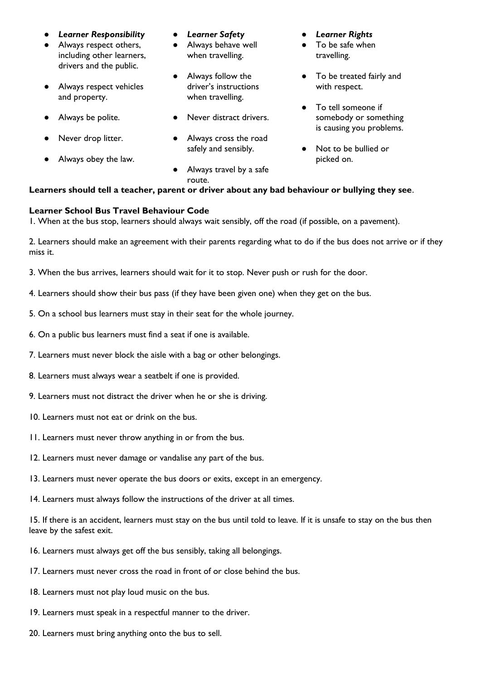- *Learner Responsibility*
- Always respect others, including other learners, drivers and the public.
- Always respect vehicles and property.
- Always be polite.
- Never drop litter.
- Always obey the law.
- *Learner Safety*
- Always behave well when travelling.
- Always follow the driver's instructions when travelling.
- Never distract drivers.
- Always cross the road safely and sensibly.
- *Learner Rights*
- To be safe when travelling.
- To be treated fairly and with respect.
- To tell someone if somebody or something is causing you problems.
- Not to be bullied or picked on.

## **Learners should tell a teacher, parent or driver about any bad behaviour or bullying they see**.

● Always travel by a safe

#### **Learner School Bus Travel Behaviour Code**

1. When at the bus stop, learners should always wait sensibly, off the road (if possible, on a pavement).

2. Learners should make an agreement with their parents regarding what to do if the bus does not arrive or if they miss it.

3. When the bus arrives, learners should wait for it to stop. Never push or rush for the door.

route.

- 4. Learners should show their bus pass (if they have been given one) when they get on the bus.
- 5. On a school bus learners must stay in their seat for the whole journey.
- 6. On a public bus learners must find a seat if one is available.
- 7. Learners must never block the aisle with a bag or other belongings.
- 8. Learners must always wear a seatbelt if one is provided.
- 9. Learners must not distract the driver when he or she is driving.
- 10. Learners must not eat or drink on the bus.
- 11. Learners must never throw anything in or from the bus.
- 12. Learners must never damage or vandalise any part of the bus.
- 13. Learners must never operate the bus doors or exits, except in an emergency.
- 14. Learners must always follow the instructions of the driver at all times.

15. If there is an accident, learners must stay on the bus until told to leave. If it is unsafe to stay on the bus then leave by the safest exit.

- 16. Learners must always get off the bus sensibly, taking all belongings.
- 17. Learners must never cross the road in front of or close behind the bus.
- 18. Learners must not play loud music on the bus.
- 19. Learners must speak in a respectful manner to the driver.
- 20. Learners must bring anything onto the bus to sell.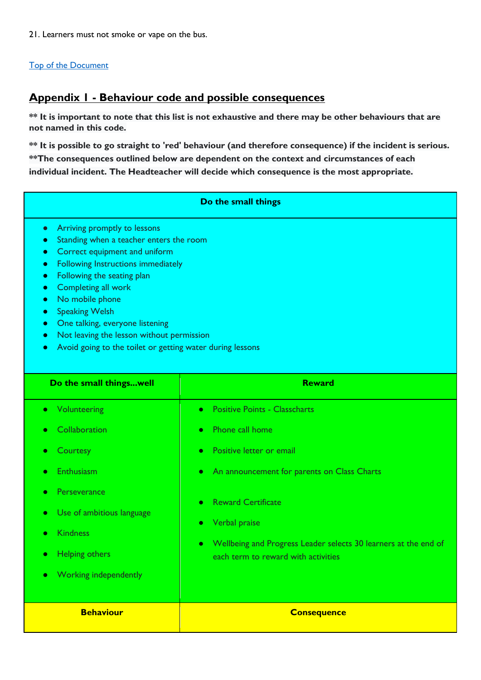21. Learners must not smoke or vape on the bus.

#### [Top of the Document](#page-0-2)

# <span id="page-6-0"></span>**Appendix 1 - Behaviour code and possible consequences**

**\*\* It is important to note that this list is not exhaustive and there may be other behaviours that are not named in this code.**

**\*\* It is possible to go straight to 'red' behaviour (and therefore consequence) if the incident is serious. \*\*The consequences outlined below are dependent on the context and circumstances of each individual incident. The Headteacher will decide which consequence is the most appropriate.** 

#### **Do the small things**

- Arriving promptly to lessons
- Standing when a teacher enters the room
- Correct equipment and uniform
- Following Instructions immediately
- Following the seating plan
- Completing all work
- No mobile phone
- Speaking Welsh
- One talking, everyone listening
- Not leaving the lesson without permission
- Avoid going to the toilet or getting water during lessons

| Do the small thingswell            | <b>Reward</b>                                                   |
|------------------------------------|-----------------------------------------------------------------|
| • Volunteering                     | <b>Positive Points - Classcharts</b><br>$\bullet$               |
| Collaboration                      | Phone call home                                                 |
| ۰                                  | $\bullet$                                                       |
| Courtesy                           | Positive letter or email                                        |
| $\bullet$                          | $\bullet$                                                       |
| Enthusiasm                         | An announcement for parents on Class Charts                     |
| $\bullet$                          | $\bullet$                                                       |
| Perseverance                       | <b>Reward Certificate</b>                                       |
| $\bullet$                          | $\bullet$                                                       |
| Use of ambitious language          | Verbal praise                                                   |
| $\bullet$                          | $\bullet$                                                       |
| <b>Kindness</b>                    | Wellbeing and Progress Leader selects 30 learners at the end of |
| $\bullet$                          | $\bullet$                                                       |
| <b>Helping others</b><br>$\bullet$ | each term to reward with activities                             |
| Working independently<br>۰         |                                                                 |
|                                    |                                                                 |
| <b>Behaviour</b>                   | <b>Consequence</b>                                              |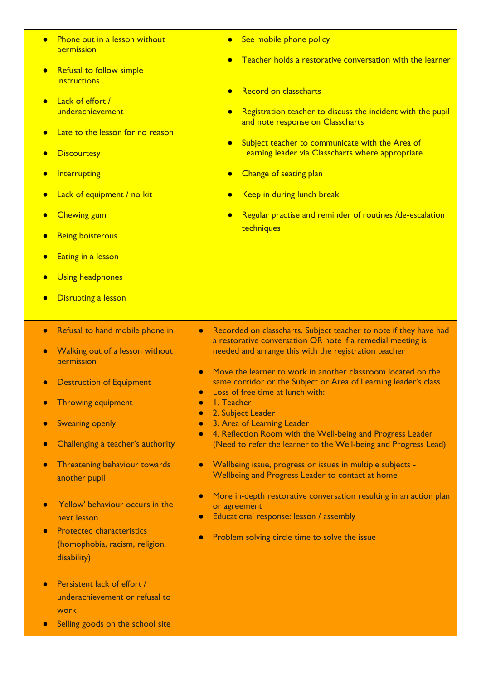| Phone out in a lesson without<br>permission<br>Refusal to follow simple<br>$\bullet$<br>instructions<br>Lack of effort /<br>underachievement<br>Late to the lesson for no reason<br><b>Discourtesy</b><br>Interrupting<br>Lack of equipment / no kit<br><b>Chewing gum</b><br><b>Being boisterous</b><br>Eating in a lesson<br><b>Using headphones</b><br><b>Disrupting a lesson</b>                                                                                                                                                                                                    | See mobile phone policy<br>Teacher holds a restorative conversation with the learner<br>Record on classcharts<br>Registration teacher to discuss the incident with the pupil<br>and note response on Classcharts<br>Subject teacher to communicate with the Area of<br>Learning leader via Classcharts where appropriate<br>Change of seating plan<br>Keep in during lunch break<br>Regular practise and reminder of routines /de-escalation<br>techniques                                                                                                                                                                                                                                                                                                                                                                                                                                        |
|-----------------------------------------------------------------------------------------------------------------------------------------------------------------------------------------------------------------------------------------------------------------------------------------------------------------------------------------------------------------------------------------------------------------------------------------------------------------------------------------------------------------------------------------------------------------------------------------|---------------------------------------------------------------------------------------------------------------------------------------------------------------------------------------------------------------------------------------------------------------------------------------------------------------------------------------------------------------------------------------------------------------------------------------------------------------------------------------------------------------------------------------------------------------------------------------------------------------------------------------------------------------------------------------------------------------------------------------------------------------------------------------------------------------------------------------------------------------------------------------------------|
| Refusal to hand mobile phone in<br>$\bullet$<br>Walking out of a lesson without<br>$\bullet$<br>permission<br><b>Destruction of Equipment</b><br><b>Throwing equipment</b><br><b>Swearing openly</b><br>Challenging a teacher's authority<br>$\bullet$<br>Threatening behaviour towards<br>$\bullet$<br>another pupil<br>'Yellow' behaviour occurs in the<br>next lesson<br><b>Protected characteristics</b><br>$\bullet$<br>(homophobia, racism, religion,<br>disability)<br>Persistent lack of effort /<br>underachievement or refusal to<br>work<br>Selling goods on the school site | Recorded on classcharts. Subject teacher to note if they have had<br>$\bullet$<br>a restorative conversation OR note if a remedial meeting is<br>needed and arrange this with the registration teacher<br>Move the learner to work in another classroom located on the<br>same corridor or the Subject or Area of Learning leader's class<br>Loss of free time at lunch with:<br>I. Teacher<br>2. Subject Leader<br>3. Area of Learning Leader<br>4. Reflection Room with the Well-being and Progress Leader<br>$\bullet$<br>(Need to refer the learner to the Well-being and Progress Lead)<br>Wellbeing issue, progress or issues in multiple subjects -<br>Wellbeing and Progress Leader to contact at home<br>More in-depth restorative conversation resulting in an action plan<br>or agreement<br>Educational response: lesson / assembly<br>Problem solving circle time to solve the issue |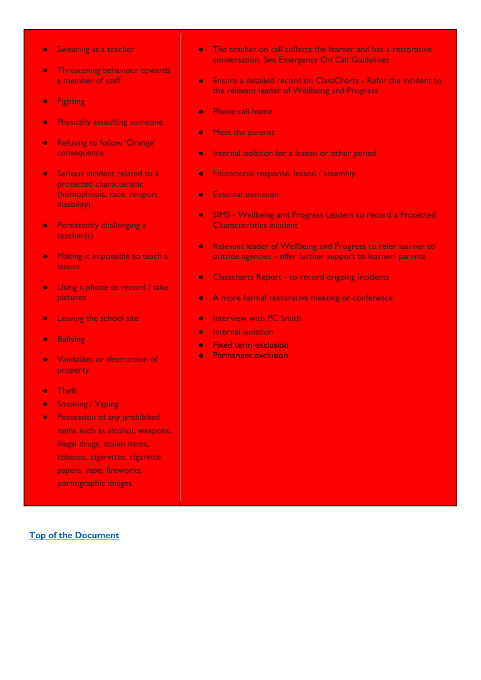- Swearing at a teacher
- **•** Threatening behaviour towards a member of staff
- Fighting
- **Physically assaulting someone**
- Refusing to follow 'Orange' consequence
- Serious incident related to a protected characteristic (homophobia, race, religion, disability)
- Persistently challenging a teacher(s)
- Making it impossible to teach a lesson
- Using a phone to record / take pictures
- **•** Leaving the school site
- Bullying
- Vandalism or destruction of property
- Theft
- Smoking / Vaping
- Possession of any prohibited items such as alcohol, weapons, illegal drugs, stolen items, tobacco, cigarettes, cigarette papers, vape, fireworks, pornographic images.
- The teacher on call collects the learner and has a restorative conversation. See Emergency On Call Guidelines
- Ensure a detailed record on ClassCharts Refer the incident to the relevant leader of Wellbeing and Progress
- Phone call home
- Meet the parents
- Internal isolation for a lesson or other period
- Educational response: lesson / assembly
- External exclusion
- SIMS Wellbeing and Progress Leaders to record a Protected Characteristics incident
- Relevant leader of Wellbeing and Progress to refer learner to outside agencies - offer further support to learner/ parents
- Classcharts Report to record ongoing incidents
- A more formal restorative meeting or conference
- **•** Interview with PC Smith
- Internal isolation
- Fixed term exclusion
- Permanent exclusion

#### **[Top of the Document](#page-0-2)**